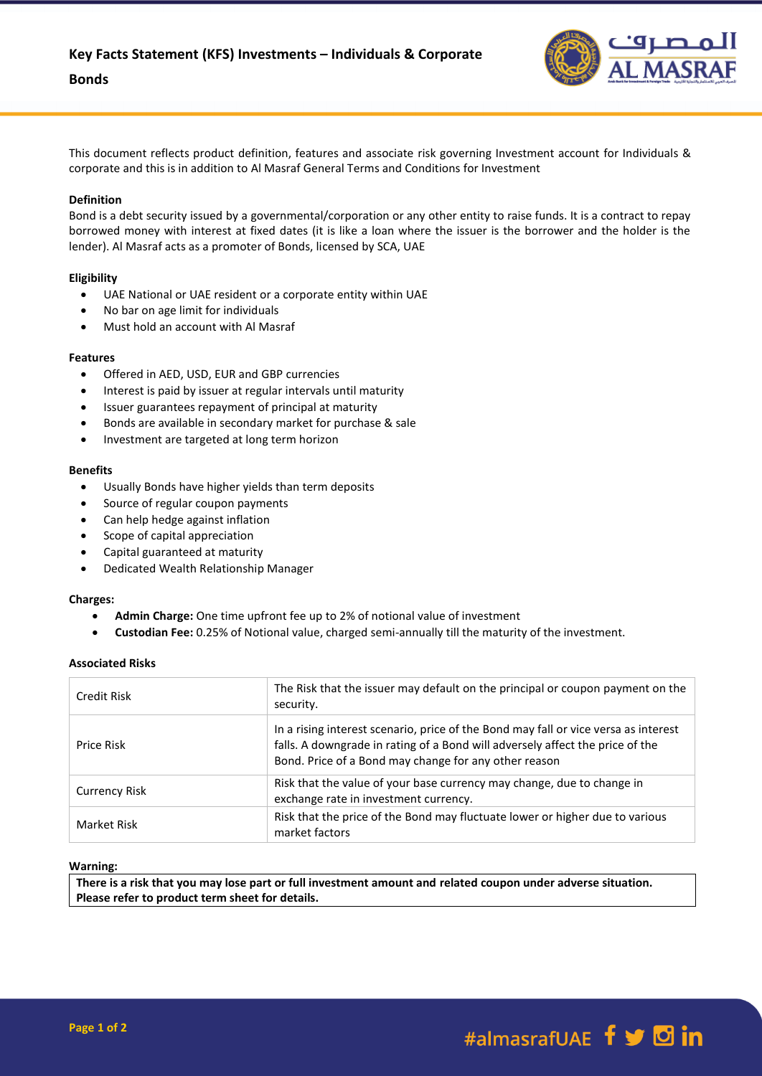

This document reflects product definition, features and associate risk governing Investment account for Individuals & corporate and this is in addition to Al Masraf General Terms and Conditions for Investment

## **Definition**

Bond is a debt security issued by a governmental/corporation or any other entity to raise funds. It is a contract to repay borrowed money with interest at fixed dates (it is like a loan where the issuer is the borrower and the holder is the lender). Al Masraf acts as a promoter of Bonds, licensed by SCA, UAE

## **Eligibility**

- UAE National or UAE resident or a corporate entity within UAE
- No bar on age limit for individuals
- Must hold an account with Al Masraf

### **Features**

- Offered in AED, USD, EUR and GBP currencies
- Interest is paid by issuer at regular intervals until maturity
- Issuer guarantees repayment of principal at maturity
- Bonds are available in secondary market for purchase & sale
- Investment are targeted at long term horizon

### **Benefits**

- Usually Bonds have higher yields than term deposits
- Source of regular coupon payments
- Can help hedge against inflation
- Scope of capital appreciation
- Capital guaranteed at maturity
- Dedicated Wealth Relationship Manager

### **Charges:**

- **Admin Charge:** One time upfront fee up to 2% of notional value of investment
- **Custodian Fee:** 0.25% of Notional value, charged semi-annually till the maturity of the investment.

# **Associated Risks**

| Credit Risk          | The Risk that the issuer may default on the principal or coupon payment on the<br>security.                                                                                                                                   |
|----------------------|-------------------------------------------------------------------------------------------------------------------------------------------------------------------------------------------------------------------------------|
| Price Risk           | In a rising interest scenario, price of the Bond may fall or vice versa as interest<br>falls. A downgrade in rating of a Bond will adversely affect the price of the<br>Bond. Price of a Bond may change for any other reason |
| <b>Currency Risk</b> | Risk that the value of your base currency may change, due to change in<br>exchange rate in investment currency.                                                                                                               |
| Market Risk          | Risk that the price of the Bond may fluctuate lower or higher due to various<br>market factors                                                                                                                                |

### **Warning:**

**There is a risk that you may lose part or full investment amount and related coupon under adverse situation. Please refer to product term sheet for details.**